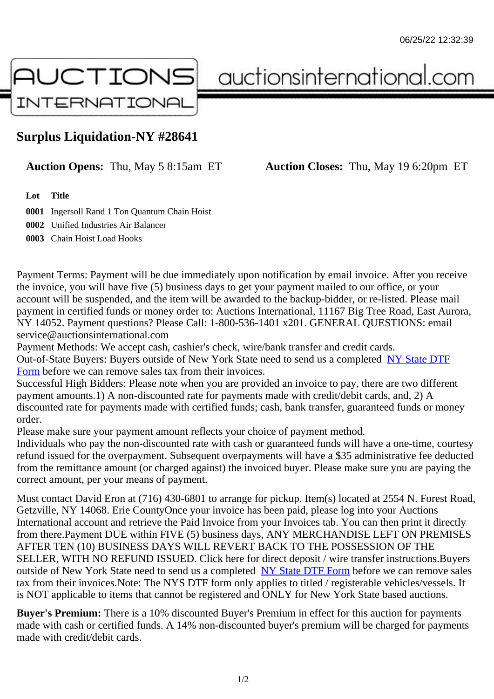## Surplus Liquidation-NY #28641

Auction Opens: Thu, May 5 8:15am ET Auction Closes: Thu, May 19 6:20pm ET

Lot Title

0001 Ingersoll Rand 1 Ton Quantum Chain Hoist 0002 Unified Industries Air Balancer

0003 Chain Hoist Load Hooks

Payment Terms: Payment will be due immediately upon notification by email invoice. After you receive the invoice, you will have five (5) business days to get your payment mailed to our office, or your account will be suspended, and the item will be awarded to the backup-bidder, or re-listed. Please mail payment in certified funds or money order to: Auctions International, 11167 Big Tree Road, East Aurora NY 14052. Payment questions? Please Call: 1-800-536-1401 x201. GENERAL QUESTIONS: email service@auctionsinternational.com

Payment Methods: We accept cash, cashier's check, wire/bank transfer and credit cards. Out-of-State Buyers: Buyers outside of New York State need to send us a com blestate DTF Form before we can remove sales tax from their invoices.

Successful High Bidders: Please note when you are provided an invoice to pay, there are two different payment amounts.1) A non-discounted rate for payments made with credit/de[bit cards, and](https://www.auctionsinternational.com/auxiliary/downloads/DTF_Form/dtf_fill_in.pdf), 2) A [disco](https://www.auctionsinternational.com/auxiliary/downloads/DTF_Form/dtf_fill_in.pdf)unted rate for payments made with certified funds; cash, bank transfer, quaranteed funds or mone order.

Please make sure your payment amount reflects your choice of payment method.

Individuals who pay the non-discounted rate with cash or quaranteed funds will have a one-time, courte refund issued for the overpayment. Subsequent overpayments will have a \$35 administrative fee deduc from the remittance amount (or charged against) the invoiced buyer. Please make sure you are paying correct amount, per your means of payment.

Must contact David Eron at (716) 430-6801 to arrange for pickup. Item(s) located at 2554 N. Forest Road, Getzville, NY 14068. Erie CountyOnce your invoice has been paid, please log into your Auctions International account and retrieve the Paid Invoice from your Invoices tab. You can then print it directly from there.Payment DUE within FIVE (5) business days, ANY MERCHANDISE LEFT ON PREMISES AFTER TEN (10) BUSINESS DAYS WILL REVERT BACK TO THE POSSESSION OF THE SELLER, WITH NO REFUND ISSUED. Click here for direct deposit / wire transfer instructions.Buyers outside of New York State need to send us a complete **State DTF Form before we can remove sales** tax from their invoices.Note: The NYS DTF form only applies to titled / registerable vehicles/vessels. It is NOT applicable to items that cannot be registered and ONLY for New York State based auctions.

Buyer's Premium: There is a 10% discounted Buye[r's Premium in effec](https://www.auctionsinternational.com/auxiliary/downloads/DTF_Form/dtf_fill_in.pdf)t for this auction for payments made with cash or certified funds. A 14% non-discounted buyer's premium will be charged for payments made with credit/debit cards.